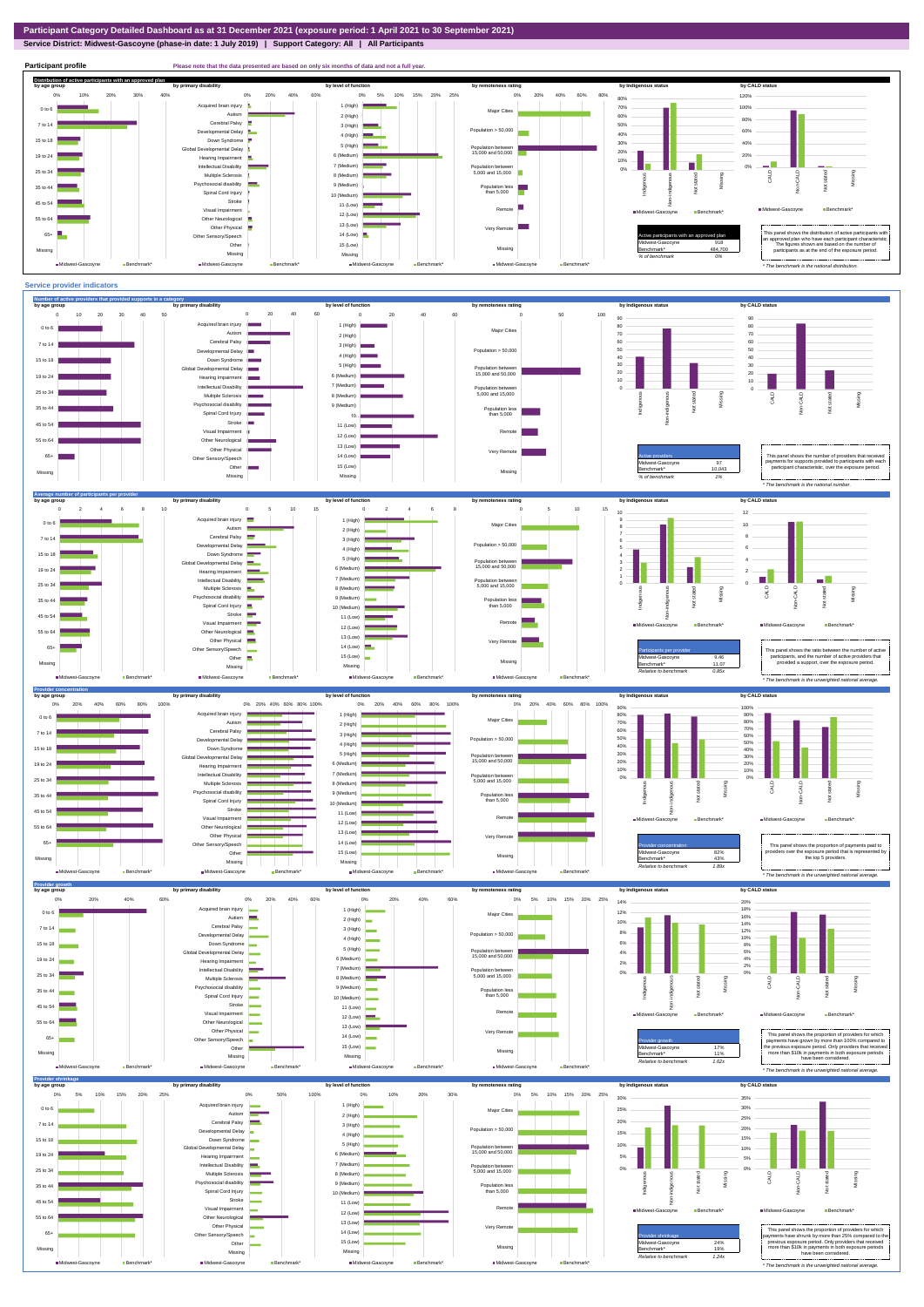**Service District: Midwest-Gascoyne (phase-in date: 1 July 2019) | Support Category: All | All Participants**



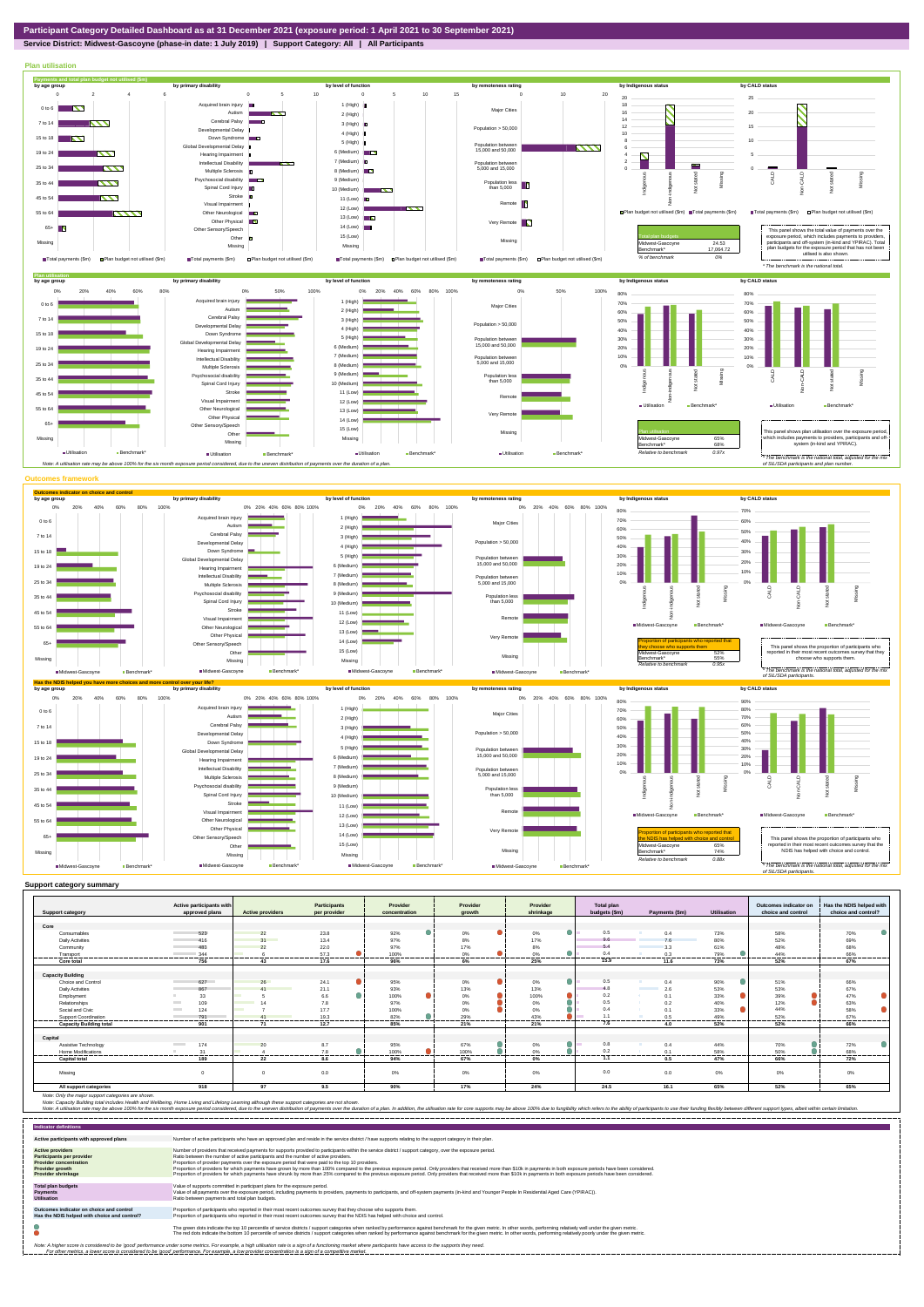# **Service District: Midwest-Gascoyne (phase-in date: 1 July 2019) | Support Category: All | All Participants**



|                                | Active participants with        |                                           | <b>Participants</b> | Provider      | Provider        | Provider  | <b>Total plan</b> |                                 |                    | Outcomes indicator on | Has the NDIS helped with |
|--------------------------------|---------------------------------|-------------------------------------------|---------------------|---------------|-----------------|-----------|-------------------|---------------------------------|--------------------|-----------------------|--------------------------|
| <b>Support category</b>        | approved plans                  | <b>Active providers</b>                   | per provider        | concentration | arowth          | shrinkage | budgets (\$m)     | Payments (\$m)                  | <b>Utilisation</b> | choice and control    | choice and control?      |
|                                |                                 |                                           |                     |               |                 |           |                   |                                 |                    |                       |                          |
| Core                           |                                 |                                           |                     |               |                 |           | 0.5               |                                 |                    |                       |                          |
| Consumables                    | 523                             | 22<br>31                                  | 23.8                | 92%           | 0%              | $0\%$     | 9.6               | 0.4                             | 73%                | 58%                   | 70%                      |
| <b>Daily Activities</b>        | 416                             |                                           | 13.4                | 97%           | 8%              | 17%       | 5.4               | 7.6                             | 80%                | 52%                   | 69%                      |
| Community                      | 483                             | 22                                        | 22.0                | 97%           | 17%             | 8%        | 0.4               | 3.3                             | 61%                | 48%                   | 68%                      |
| Transport<br>                  | 344<br>.                        | .                                         | 57.3<br>-------     | 100%<br>      | 0%<br>          | 0%<br>.   | .                 | 0.3<br>-------                  | 79%<br>            | 44%<br>------         | 66%<br>------            |
| Core total                     | 756                             | 43                                        | 17.6                | 96%           | 6%              | 25%       | 15.9              | 11.6                            | 73%                | 52%                   | 67%                      |
|                                |                                 |                                           |                     |               |                 |           |                   |                                 |                    |                       |                          |
| <b>Capacity Building</b>       |                                 |                                           |                     |               |                 | ٠         | 0.5               |                                 |                    |                       |                          |
| Choice and Control             | 627                             | 26                                        | 24.1                | 95%           | $0\%$           | $0\%$     | 4.8               | 0.4<br><b>Contract Contract</b> | 90%                | 51%                   | 66%                      |
| <b>Daily Activities</b>        | 867                             | $\overline{11}$<br><b>Service Service</b> | 21.1                | 93%           | 13%             | 13%       |                   | 2.6                             | 53%                | 53%                   | 67%                      |
| Employment                     | 33                              |                                           | 6.6                 | 100%          | 0%              | 100%      | 0.2               | 0.1                             | 33%                | 39%                   | 47%                      |
| Relationships                  | 109                             |                                           | 7.8                 | 97%           | 0%              | 0%        | 0.5               | 0.2                             | 40%                | 12%                   | 63%                      |
| Social and Civic               | 124                             | $\sim$                                    | 17.7                | 100%          | 0%              | 0%        | 0.4               | 0.1                             | 33%                | 44%                   | 58%                      |
| Support Coordination           | 791<br>---------                |                                           | 19.3<br>.           | 82%<br>.      | 29%<br>-------- | 43%<br>.  | 11                | 0.5<br>                         | 49%<br>-------     | 52%<br>-------        | 67%<br>-------           |
| <b>Capacity Building total</b> | 901                             | 71                                        | 12.7                | 85%           | 21%             | 21%       |                   | 4.0                             | 52%                | 52%                   | 66%                      |
| Capital                        |                                 |                                           |                     |               |                 |           |                   |                                 |                    |                       |                          |
| Assistive Technology           | 174<br><b>Contract Contract</b> | 20                                        | 8.7                 | 95%           | 67%             | 0%        | 0.8               | 0.4                             | 44%                | 70%                   | 72%                      |
| Home Modifications             | 31                              |                                           | 7.8                 | 100%          | 100%            | 0%        | 0.2               | 0.1                             | 58%                | 50%                   | 68%                      |
| <b>Capital total</b>           | 189                             | 22                                        | 8.6                 | 94%           | 67%             | 0%        | 1.1               | 0.5                             | 47%                | 66%                   | 72%                      |
| Missing                        |                                 |                                           | 0.0                 | 0%            | 0%              | 0%        | 0.0               | 0.0                             | $0\%$              | 0%                    | $0\%$                    |
| All support categories         | 918                             | 97                                        | 9.5                 | 90%           | 17%             | 24%       | 24.5              | 16.1                            | 65%                | 52%                   | 65%                      |

| <b>Indicator definitions</b>                                                                                                                 |                                                                                                                                                                                                                                                                                                                                                                                                                                                                                                                                                                                                                                                                                                                                                                                                                 |
|----------------------------------------------------------------------------------------------------------------------------------------------|-----------------------------------------------------------------------------------------------------------------------------------------------------------------------------------------------------------------------------------------------------------------------------------------------------------------------------------------------------------------------------------------------------------------------------------------------------------------------------------------------------------------------------------------------------------------------------------------------------------------------------------------------------------------------------------------------------------------------------------------------------------------------------------------------------------------|
| Active participants with approved plans                                                                                                      | Number of active participants who have an approved plan and reside in the service district / have supports relating to the support category in their plan.                                                                                                                                                                                                                                                                                                                                                                                                                                                                                                                                                                                                                                                      |
| <b>Active providers</b><br><b>Participants per provider</b><br><b>Provider concentration</b><br>Provider growth<br><b>Provider shrinkage</b> | Number of providers that received payments for supports provided to participants within the service district / support category, over the exposure period.<br>Ratio between the number of active participants and the number of active providers.<br>Proportion of provider payments over the exposure period that were paid to the top 10 providers.<br>Proportion of providers for which payments have grown by more than 100% compared to the previous exposure period. Only providers that received more than \$10k in payments in both exposure periods have been considered.<br>Proportion of providers for which payments have shrunk by more than 25% compared to the previous exposure period. Only providers that received more than \$10k in payments in both exposure periods have been considered. |
| <b>Total plan budgets</b><br>Payments<br><b>Utilisation</b>                                                                                  | Value of supports committed in participant plans for the exposure period.<br>Value of all payments over the exposure period, including payments to providers, payments to participants, and off-system payments (in-kind and Younger People In Residential Aged Care (YPIRAC)).<br>Ratio between payments and total plan budgets.                                                                                                                                                                                                                                                                                                                                                                                                                                                                               |
| Outcomes indicator on choice and control<br>Has the NDIS helped with choice and control?                                                     | Proportion of participants who reported in their most recent outcomes survey that they choose who supports them.<br>Proportion of participants who reported in their most recent outcomes survey that the NDIS has helped with choice and control.                                                                                                                                                                                                                                                                                                                                                                                                                                                                                                                                                              |
|                                                                                                                                              | The green dots indicate the top 10 percentile of service districts / support categories when ranked by performance against benchmark for the given metric. In other words, performing relatively well under the given metric.<br>The red dots indicate the bottom 10 percentile of service districts / support categories when ranked by performance against benchmark for the given metric. In other words, performing relatively poorly under the given metri                                                                                                                                                                                                                                                                                                                                                 |
|                                                                                                                                              | Note: A higher score is considered to be 'good' performance under some metrics. For example, a high utilisation rate is a sign of a functioning market where participants have access to the supports they need.<br>For other metrics, a lower score is considered to be 'good' performance. For example, a low provider concentration is a sign of a competitive market.                                                                                                                                                                                                                                                                                                                                                                                                                                       |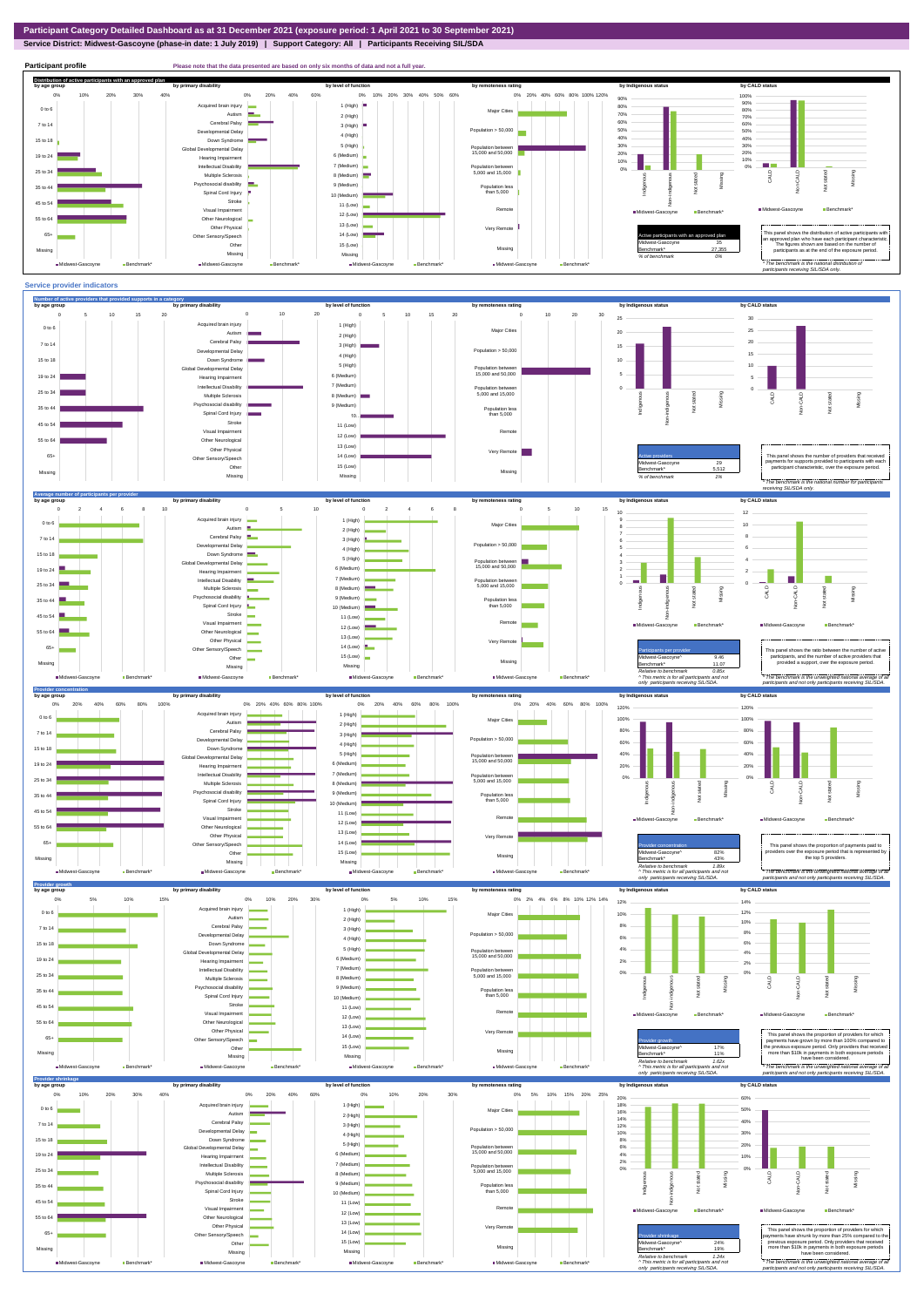# **Service District: Midwest-Gascoyne (phase-in date: 1 July 2019) | Support Category: All | Participants Receiving SIL/SDA**

**Midwest-Gascoyne Bench** 

Midwest-Gascoyne **Benchmark\*** 

#### *Relative to benchmark 0.85x ^ This metric is for all participants and not*  The benchmark is the unweighted national ave *participants and not only participants receiving SIL/SDA. only participants receiving SIL/SDA.*









**Midwest-Gascoyne Benchmark** 

Midwest-Gascoyne Ben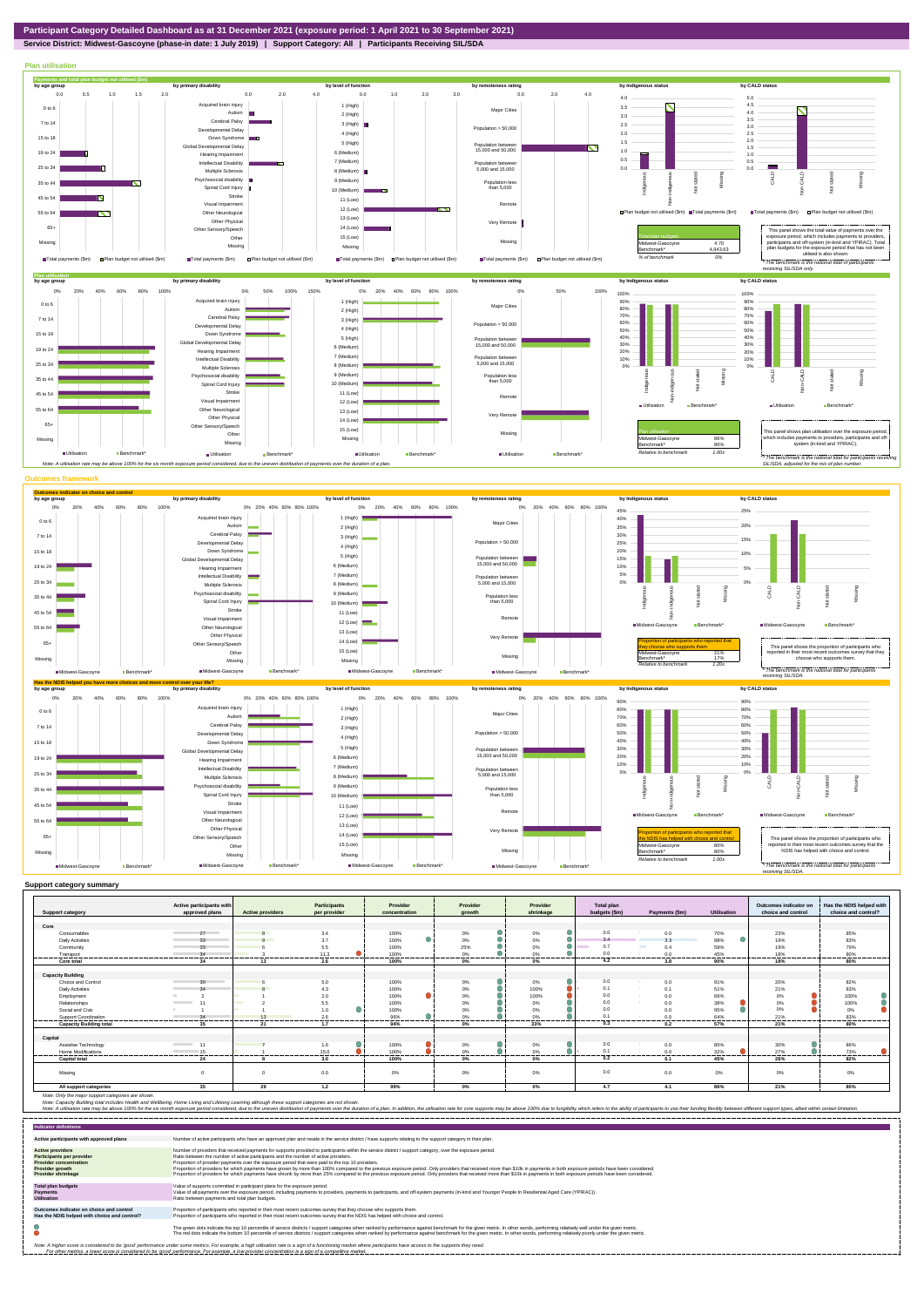

### **Service District: Midwest-Gascoyne (phase-in date: 1 July 2019) | Support Category: All | Participants Receiving SIL/SDA**



| <b>Support category</b>        | Active participants with<br>approved plans | <b>Active providers</b> | Participants<br>per provider | Provider<br>concentration | Provider<br>arowth | Provider<br>shrinkage | <b>Total plan</b><br>budgets (\$m) | Payments (\$m)       | Utilisation    | Outcomes indicator on<br>choice and control | Has the NDIS helped with<br>choice and control? |
|--------------------------------|--------------------------------------------|-------------------------|------------------------------|---------------------------|--------------------|-----------------------|------------------------------------|----------------------|----------------|---------------------------------------------|-------------------------------------------------|
|                                |                                            |                         |                              |                           |                    |                       |                                    |                      |                |                                             |                                                 |
| Core                           |                                            |                         |                              |                           |                    |                       |                                    |                      |                |                                             |                                                 |
| Consumables                    | 27                                         |                         | 3.4                          | 100%                      | 0%                 | 0%                    | 0.0                                | 0.0                  | 70%            | 23%                                         | 85%                                             |
| <b>Daily Activities</b>        | 33                                         | $\Omega$                | 3.7                          | 100%                      | $0\%$              | $0\%$                 | 3.4                                | 3.3                  | 98%            | 19%                                         | 83%                                             |
| Community                      | 33                                         |                         | 5.5                          | 100%                      | 25%                | 0%                    | 0.7                                | <b>The Co</b><br>0.4 | 59%            | 19%                                         | 79%                                             |
| Transport                      | 34                                         |                         | 11.3                         | 100%                      | 0%                 | 0%                    | 0.0                                | 0.0                  | 45%            | 18%                                         | 80%                                             |
| Core total                     | 34                                         | 13                      | 2.6                          | 100%                      | 0%                 | $0\%$                 | 4.2                                | 3.8                  | 90%            | 18%                                         | 80%                                             |
|                                |                                            |                         |                              |                           |                    |                       |                                    |                      |                |                                             |                                                 |
| <b>Capacity Building</b>       |                                            |                         |                              |                           |                    |                       |                                    |                      |                |                                             |                                                 |
| Choice and Control             | $30 -$                                     |                         | 5.0                          | 100%                      | $0\%$              | 0%                    | 0.0                                | 0.0                  | 91%            | 20%                                         | 82%                                             |
| Daily Activities               | 2 <sub>A</sub>                             |                         | 4.3                          | 100%                      | $0\%$              | 100%                  | 0.1                                | 0.1                  | 51%            | 21%                                         | 83%                                             |
| Employment                     |                                            |                         | 2.0                          | 100%                      | $0\%$              | 100%                  | 0.0                                | 0.0<br><b>SALE</b>   | 66%            | 0%                                          | 100%                                            |
| Relationships                  | the control of the con-                    |                         | 5.5                          | 100%                      | 0%                 | 0%                    | 0.0                                | 0.0                  | 38%            | 0%                                          | 100%                                            |
| Social and Civic               |                                            |                         | 1.0                          | 100%                      | 0%                 | 0%                    | 0.0                                | 0.0                  | 95%            | 0%                                          | 0%                                              |
| <b>Support Coordination</b>    | 34                                         | 13                      | 2.6<br>------                | 96%                       | 0%<br>.            | 0%                    | 0.1                                | 0.0                  | 64%            | 21%                                         | 83%                                             |
| <b>Capacity Building total</b> | 35                                         | 21                      | 1.7                          | 94%                       | 0%                 | .<br>33%              | 0.3                                | <br>0.2              | 57%            | <br>21%                                     | 80%                                             |
|                                |                                            |                         |                              |                           |                    |                       |                                    |                      |                |                                             |                                                 |
| Capital                        |                                            |                         |                              |                           |                    |                       |                                    |                      |                |                                             |                                                 |
| Assistive Technology           | <b>Contract Contract</b><br>11             |                         | 1.6                          | 100%                      | 0%                 | 0%                    | 0.0                                | 0.0                  | 85%            | 30%                                         | 86%                                             |
| Home Modifications             | 15<br>----------                           |                         | 15.0<br>---------            | 100%                      | 0%                 | 0%<br>.               | 0.1<br>                            | 0.0<br>              | 32%<br>------- | 27%<br>                                     | 73%<br>                                         |
| <b>Capital total</b>           | 24                                         |                         | 3.0                          | 100%                      | 0%                 | $0\%$                 | 0.2                                | 0.1                  | 45%            | 26%                                         | 82%                                             |
|                                |                                            |                         |                              |                           |                    |                       |                                    |                      |                |                                             |                                                 |
| Missina                        |                                            |                         | 0.0                          | 0%                        | 0%                 | 0%                    | 0.0                                | 0.0                  | $0\%$          | 0%                                          | 0%                                              |
| All support categories         | 35                                         | 29                      | 1.2                          | 99%                       | 0%                 | $0\%$                 | 4.7                                | 4.1                  | 86%            | 21%                                         | 80%                                             |

Note: Only the major support categories are shown.<br>Note: Capacity Building total individual Wellbeing, Home Living and Lifelong Learning although these support categories are not shown.<br>Note: A utilisation rate may be abov

| <b>Indicator definitions</b>                                                                                                                 |                                                                                                                                                                                                                                                                                                                                                                                                                                                                                                                                                                                                                                                                                                                                                                                                                 |
|----------------------------------------------------------------------------------------------------------------------------------------------|-----------------------------------------------------------------------------------------------------------------------------------------------------------------------------------------------------------------------------------------------------------------------------------------------------------------------------------------------------------------------------------------------------------------------------------------------------------------------------------------------------------------------------------------------------------------------------------------------------------------------------------------------------------------------------------------------------------------------------------------------------------------------------------------------------------------|
| Active participants with approved plans                                                                                                      | Number of active participants who have an approved plan and reside in the service district / have supports relating to the support category in their plan.                                                                                                                                                                                                                                                                                                                                                                                                                                                                                                                                                                                                                                                      |
| <b>Active providers</b><br><b>Participants per provider</b><br><b>Provider concentration</b><br>Provider growth<br><b>Provider shrinkage</b> | Number of providers that received payments for supports provided to participants within the service district / support category, over the exposure period.<br>Ratio between the number of active participants and the number of active providers.<br>Proportion of provider payments over the exposure period that were paid to the top 10 providers.<br>Proportion of providers for which payments have grown by more than 100% compared to the previous exposure period. Only providers that received more than \$10k in payments in both exposure periods have been considered.<br>Proportion of providers for which payments have shrunk by more than 25% compared to the previous exposure period. Only providers that received more than \$10k in payments in both exposure periods have been considered. |
| <b>Total plan budgets</b><br>Payments<br><b>Utilisation</b>                                                                                  | Value of supports committed in participant plans for the exposure period.<br>Value of all payments over the exposure period, including payments to providers, payments to participants, and off-system payments (in-kind and Younger People In Residential Aged Care (YPIRAC)).<br>Ratio between payments and total plan budgets.                                                                                                                                                                                                                                                                                                                                                                                                                                                                               |
| Outcomes indicator on choice and control<br>Has the NDIS helped with choice and control?                                                     | Proportion of participants who reported in their most recent outcomes survey that they choose who supports them.<br>Proportion of participants who reported in their most recent outcomes survey that the NDIS has helped with choice and control.                                                                                                                                                                                                                                                                                                                                                                                                                                                                                                                                                              |
|                                                                                                                                              | The green dots indicate the top 10 percentile of service districts / support categories when ranked by performance against benchmark for the given metric. In other words, performing relatively well under the given metric.<br>The red dots indicate the bottom 10 percentile of service districts / support categories when ranked by performance against benchmark for the given metric. In other words, performing relatively poorly under the given metri                                                                                                                                                                                                                                                                                                                                                 |
|                                                                                                                                              | Note: A higher score is considered to be 'good' performance under some metrics. For example, a high utilisation rate is a sign of a functioning market where participants have access to the supports they need.<br>For other metrics, a lower score is considered to be 'good' performance. For example, a low provider concentration is a sign of a competitive market.                                                                                                                                                                                                                                                                                                                                                                                                                                       |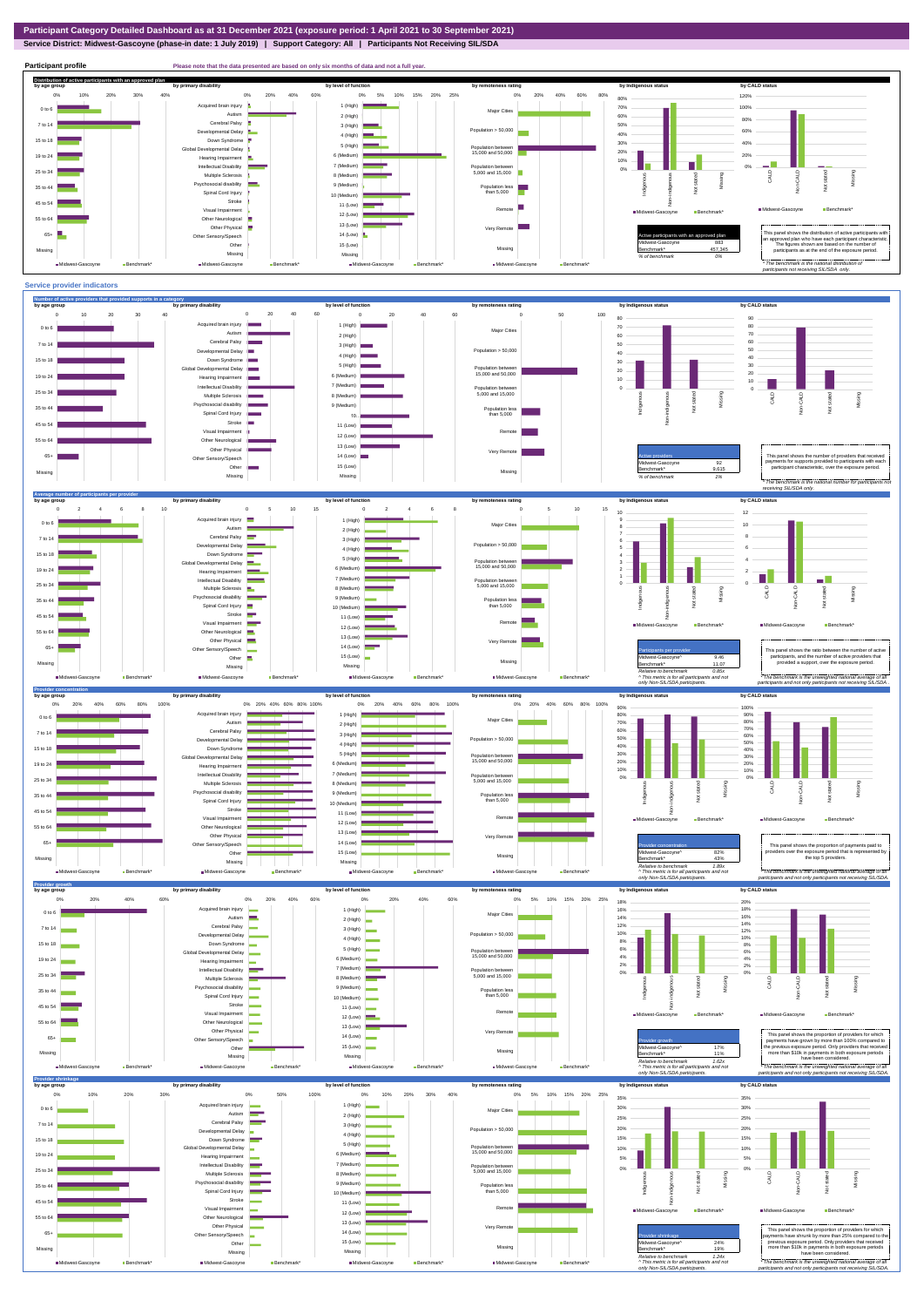# **Service District: Midwest-Gascoyne (phase-in date: 1 July 2019) | Support Category: All | Participants Not Receiving SIL/SDA**